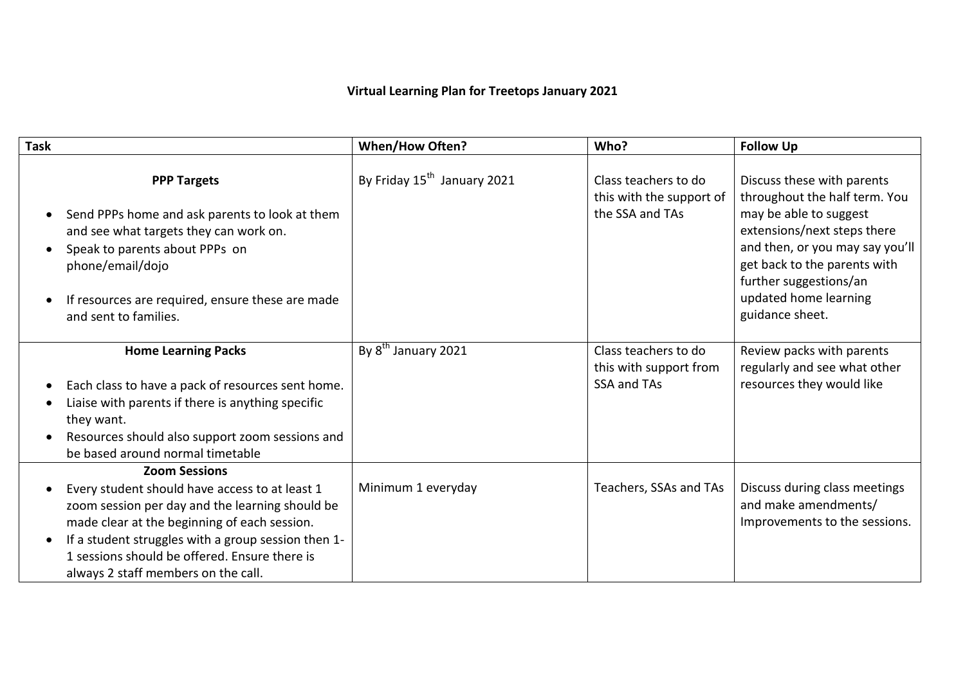## **Virtual Learning Plan for Treetops January 2021**

| Task                                                                                                                                                                                                                                                                                                                     | <b>When/How Often?</b>                  | Who?                                                                | <b>Follow Up</b>                                                                                                                                                                                                                                              |
|--------------------------------------------------------------------------------------------------------------------------------------------------------------------------------------------------------------------------------------------------------------------------------------------------------------------------|-----------------------------------------|---------------------------------------------------------------------|---------------------------------------------------------------------------------------------------------------------------------------------------------------------------------------------------------------------------------------------------------------|
| <b>PPP Targets</b><br>Send PPPs home and ask parents to look at them<br>and see what targets they can work on.<br>Speak to parents about PPPs on<br>phone/email/dojo<br>If resources are required, ensure these are made<br>and sent to families.                                                                        | By Friday 15 <sup>th</sup> January 2021 | Class teachers to do<br>this with the support of<br>the SSA and TAs | Discuss these with parents<br>throughout the half term. You<br>may be able to suggest<br>extensions/next steps there<br>and then, or you may say you'll<br>get back to the parents with<br>further suggestions/an<br>updated home learning<br>guidance sheet. |
| <b>Home Learning Packs</b><br>Each class to have a pack of resources sent home.<br>Liaise with parents if there is anything specific<br>they want.<br>Resources should also support zoom sessions and<br>be based around normal timetable                                                                                | By 8 <sup>th</sup> January 2021         | Class teachers to do<br>this with support from<br>SSA and TAs       | Review packs with parents<br>regularly and see what other<br>resources they would like                                                                                                                                                                        |
| <b>Zoom Sessions</b><br>Every student should have access to at least 1<br>zoom session per day and the learning should be<br>made clear at the beginning of each session.<br>If a student struggles with a group session then 1-<br>1 sessions should be offered. Ensure there is<br>always 2 staff members on the call. | Minimum 1 everyday                      | Teachers, SSAs and TAs                                              | Discuss during class meetings<br>and make amendments/<br>Improvements to the sessions.                                                                                                                                                                        |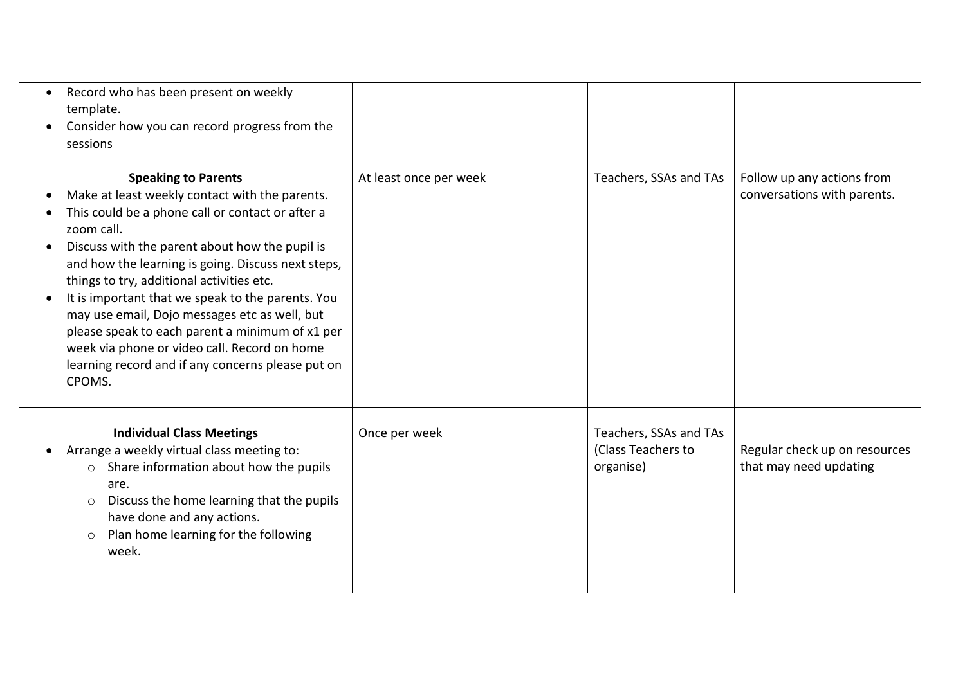| Record who has been present on weekly<br>template.<br>Consider how you can record progress from the<br>sessions                                                                                                                                                                                                                                                                                                                                                                                                                                                                                       |                        |                                                           |                                                           |
|-------------------------------------------------------------------------------------------------------------------------------------------------------------------------------------------------------------------------------------------------------------------------------------------------------------------------------------------------------------------------------------------------------------------------------------------------------------------------------------------------------------------------------------------------------------------------------------------------------|------------------------|-----------------------------------------------------------|-----------------------------------------------------------|
| <b>Speaking to Parents</b><br>Make at least weekly contact with the parents.<br>$\bullet$<br>This could be a phone call or contact or after a<br>zoom call.<br>Discuss with the parent about how the pupil is<br>$\bullet$<br>and how the learning is going. Discuss next steps,<br>things to try, additional activities etc.<br>It is important that we speak to the parents. You<br>may use email, Dojo messages etc as well, but<br>please speak to each parent a minimum of x1 per<br>week via phone or video call. Record on home<br>learning record and if any concerns please put on<br>CPOMS. | At least once per week | Teachers, SSAs and TAs                                    | Follow up any actions from<br>conversations with parents. |
| <b>Individual Class Meetings</b><br>Arrange a weekly virtual class meeting to:<br>$\bullet$<br>Share information about how the pupils<br>$\circ$<br>are.<br>Discuss the home learning that the pupils<br>$\circ$<br>have done and any actions.<br>Plan home learning for the following<br>$\circ$<br>week.                                                                                                                                                                                                                                                                                            | Once per week          | Teachers, SSAs and TAs<br>(Class Teachers to<br>organise) | Regular check up on resources<br>that may need updating   |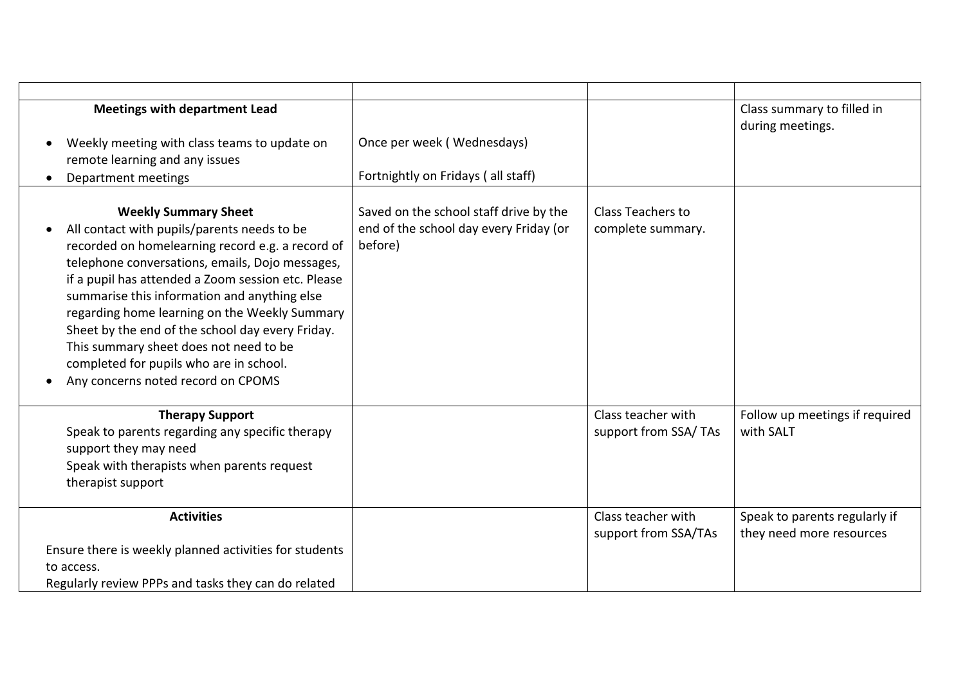| <b>Meetings with department Lead</b>                   |                                        |                          | Class summary to filled in<br>during meetings. |
|--------------------------------------------------------|----------------------------------------|--------------------------|------------------------------------------------|
| Weekly meeting with class teams to update on           | Once per week (Wednesdays)             |                          |                                                |
| remote learning and any issues                         |                                        |                          |                                                |
| Department meetings                                    | Fortnightly on Fridays (all staff)     |                          |                                                |
|                                                        |                                        |                          |                                                |
| <b>Weekly Summary Sheet</b>                            | Saved on the school staff drive by the | <b>Class Teachers to</b> |                                                |
| All contact with pupils/parents needs to be            | end of the school day every Friday (or | complete summary.        |                                                |
| recorded on homelearning record e.g. a record of       | before)                                |                          |                                                |
| telephone conversations, emails, Dojo messages,        |                                        |                          |                                                |
| if a pupil has attended a Zoom session etc. Please     |                                        |                          |                                                |
| summarise this information and anything else           |                                        |                          |                                                |
| regarding home learning on the Weekly Summary          |                                        |                          |                                                |
| Sheet by the end of the school day every Friday.       |                                        |                          |                                                |
| This summary sheet does not need to be                 |                                        |                          |                                                |
| completed for pupils who are in school.                |                                        |                          |                                                |
| Any concerns noted record on CPOMS                     |                                        |                          |                                                |
| <b>Therapy Support</b>                                 |                                        | Class teacher with       | Follow up meetings if required                 |
| Speak to parents regarding any specific therapy        |                                        | support from SSA/TAs     | with SALT                                      |
| support they may need                                  |                                        |                          |                                                |
| Speak with therapists when parents request             |                                        |                          |                                                |
| therapist support                                      |                                        |                          |                                                |
|                                                        |                                        |                          |                                                |
| <b>Activities</b>                                      |                                        | Class teacher with       | Speak to parents regularly if                  |
|                                                        |                                        | support from SSA/TAs     | they need more resources                       |
| Ensure there is weekly planned activities for students |                                        |                          |                                                |
| to access.                                             |                                        |                          |                                                |
| Regularly review PPPs and tasks they can do related    |                                        |                          |                                                |